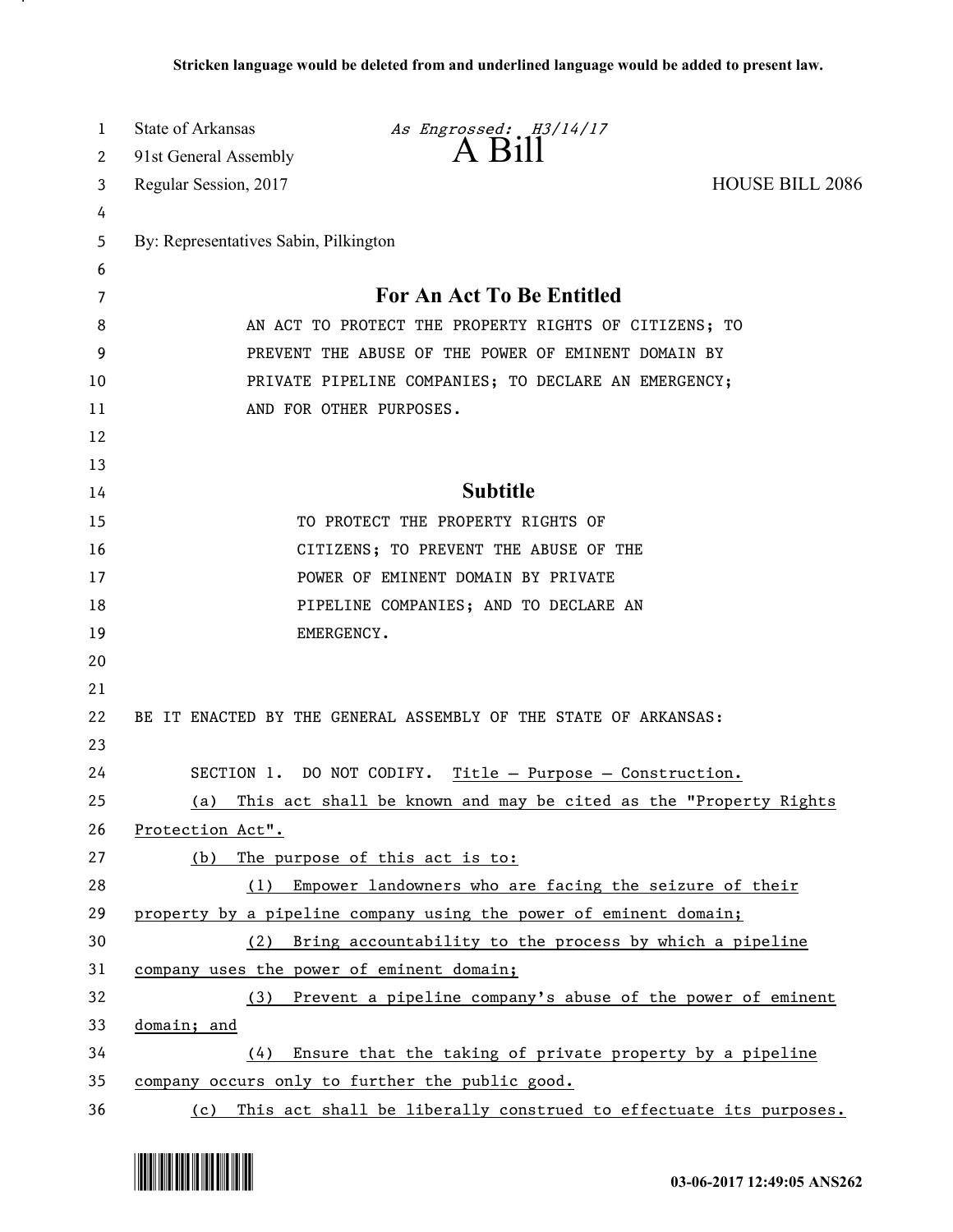| 1  | State of Arkansas                     | As Engrossed: H3/14/17                                            |                        |
|----|---------------------------------------|-------------------------------------------------------------------|------------------------|
| 2  | 91st General Assembly                 | A Bill                                                            |                        |
| 3  | Regular Session, 2017                 |                                                                   | <b>HOUSE BILL 2086</b> |
| 4  |                                       |                                                                   |                        |
| 5  | By: Representatives Sabin, Pilkington |                                                                   |                        |
| 6  |                                       |                                                                   |                        |
| 7  |                                       | For An Act To Be Entitled                                         |                        |
| 8  |                                       | AN ACT TO PROTECT THE PROPERTY RIGHTS OF CITIZENS; TO             |                        |
| 9  |                                       | PREVENT THE ABUSE OF THE POWER OF EMINENT DOMAIN BY               |                        |
| 10 |                                       | PRIVATE PIPELINE COMPANIES; TO DECLARE AN EMERGENCY;              |                        |
| 11 |                                       | AND FOR OTHER PURPOSES.                                           |                        |
| 12 |                                       |                                                                   |                        |
| 13 |                                       |                                                                   |                        |
| 14 |                                       | <b>Subtitle</b>                                                   |                        |
| 15 |                                       | TO PROTECT THE PROPERTY RIGHTS OF                                 |                        |
| 16 |                                       | CITIZENS; TO PREVENT THE ABUSE OF THE                             |                        |
| 17 |                                       | POWER OF EMINENT DOMAIN BY PRIVATE                                |                        |
| 18 |                                       | PIPELINE COMPANIES; AND TO DECLARE AN                             |                        |
| 19 |                                       | EMERGENCY.                                                        |                        |
| 20 |                                       |                                                                   |                        |
| 21 |                                       |                                                                   |                        |
| 22 |                                       | BE IT ENACTED BY THE GENERAL ASSEMBLY OF THE STATE OF ARKANSAS:   |                        |
| 23 |                                       |                                                                   |                        |
| 24 |                                       | SECTION 1. DO NOT CODIFY. Title - Purpose - Construction.         |                        |
| 25 | (a)                                   | This act shall be known and may be cited as the "Property Rights  |                        |
| 26 | Protection Act".                      |                                                                   |                        |
| 27 | (b)                                   | The purpose of this act is to:                                    |                        |
| 28 |                                       | (1) Empower landowners who are facing the seizure of their        |                        |
| 29 |                                       | property by a pipeline company using the power of eminent domain; |                        |
| 30 |                                       | (2) Bring accountability to the process by which a pipeline       |                        |
| 31 |                                       | company uses the power of eminent domain;                         |                        |
| 32 |                                       | (3) Prevent a pipeline company's abuse of the power of eminent    |                        |
| 33 | domain; and                           |                                                                   |                        |
| 34 |                                       | $(4)$ Ensure that the taking of private property by a pipeline    |                        |
| 35 |                                       | company occurs only to further the public good.                   |                        |
| 36 | (c)                                   | This act shall be liberally construed to effectuate its purposes. |                        |



.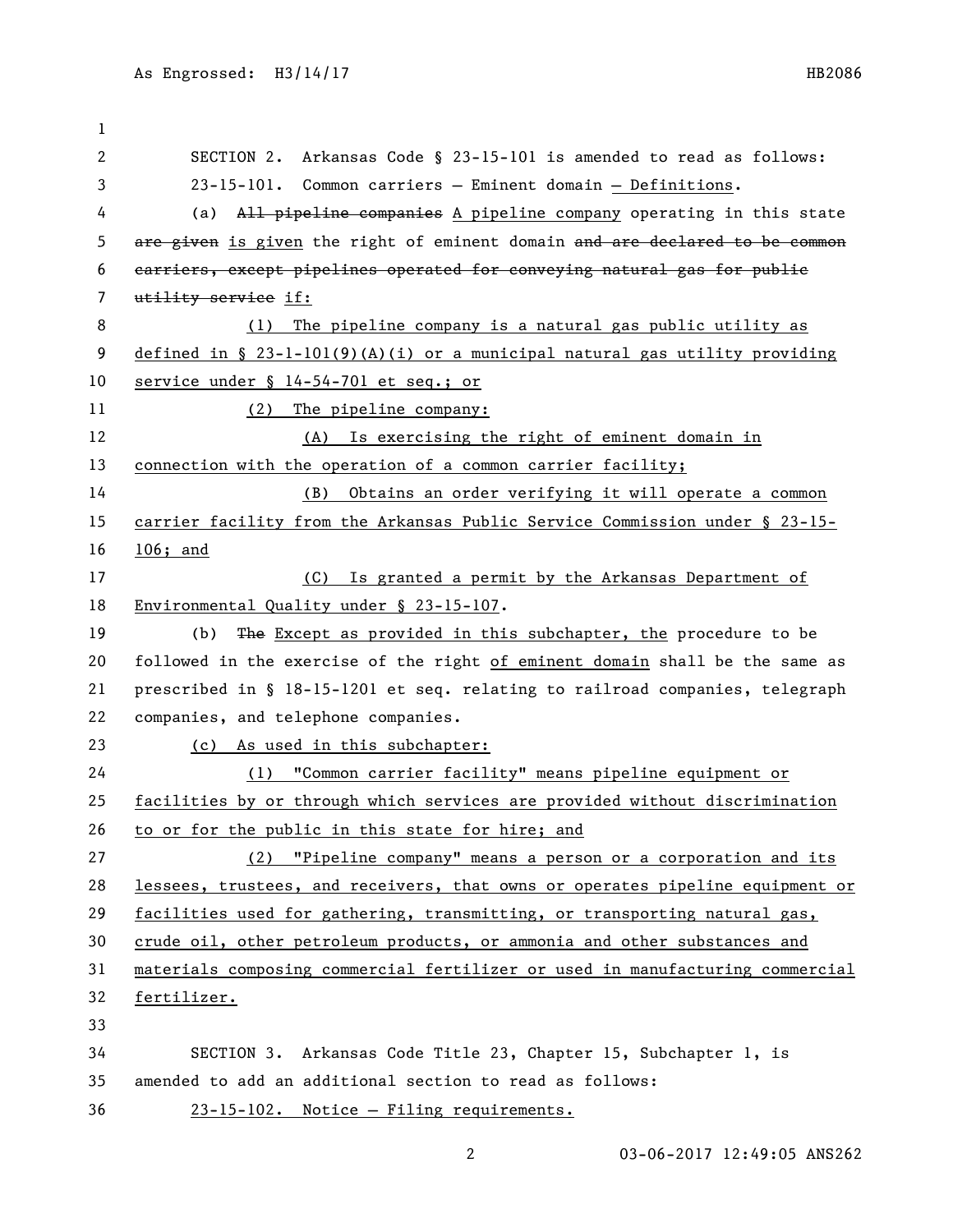| 1              |                                                                               |
|----------------|-------------------------------------------------------------------------------|
| 2              | SECTION 2. Arkansas Code § 23-15-101 is amended to read as follows:           |
| 3              | 23-15-101. Common carriers - Eminent domain - Definitions.                    |
| 4              | All pipeline companies A pipeline company operating in this state<br>(a)      |
| 5              | are given is given the right of eminent domain and are declared to be common  |
| 6              | carriers, except pipelines operated for conveying natural gas for public      |
| $\overline{7}$ | utility service if:                                                           |
| 8              | The pipeline company is a natural gas public utility as<br>(1)                |
| 9              | defined in § $23-l-101(9)(A)(i)$ or a municipal natural gas utility providing |
| 10             | service under § 14-54-701 et seq.; or                                         |
| 11             | The pipeline company:<br>(2)                                                  |
| 12             | (A) Is exercising the right of eminent domain in                              |
| 13             | connection with the operation of a common carrier facility;                   |
| 14             | Obtains an order verifying it will operate a common<br>(B)                    |
| 15             | carrier facility from the Arkansas Public Service Commission under § 23-15-   |
| 16             | $106;$ and                                                                    |
| 17             | (C) Is granted a permit by the Arkansas Department of                         |
| 18             | Environmental Quality under § 23-15-107.                                      |
| 19             | The Except as provided in this subchapter, the procedure to be<br>(b)         |
| 20             | followed in the exercise of the right of eminent domain shall be the same as  |
| 21             | prescribed in § 18-15-1201 et seq. relating to railroad companies, telegraph  |
| 22             | companies, and telephone companies.                                           |
| 23             | (c) As used in this subchapter:                                               |
| 24             | (1) "Common carrier facility" means pipeline equipment or                     |
| 25             | facilities by or through which services are provided without discrimination   |
| 26             | to or for the public in this state for hire; and                              |
| 27             | (2) "Pipeline company" means a person or a corporation and its                |
| 28             | lessees, trustees, and receivers, that owns or operates pipeline equipment or |
| 29             | facilities used for gathering, transmitting, or transporting natural gas,     |
| 30             | crude oil, other petroleum products, or ammonia and other substances and      |
| 31             | materials composing commercial fertilizer or used in manufacturing commercial |
| 32             | fertilizer.                                                                   |
| 33             |                                                                               |
| 34             | SECTION 3. Arkansas Code Title 23, Chapter 15, Subchapter 1, is               |
| 35             | amended to add an additional section to read as follows:                      |
| 36             | 23-15-102. Notice - Filing requirements.                                      |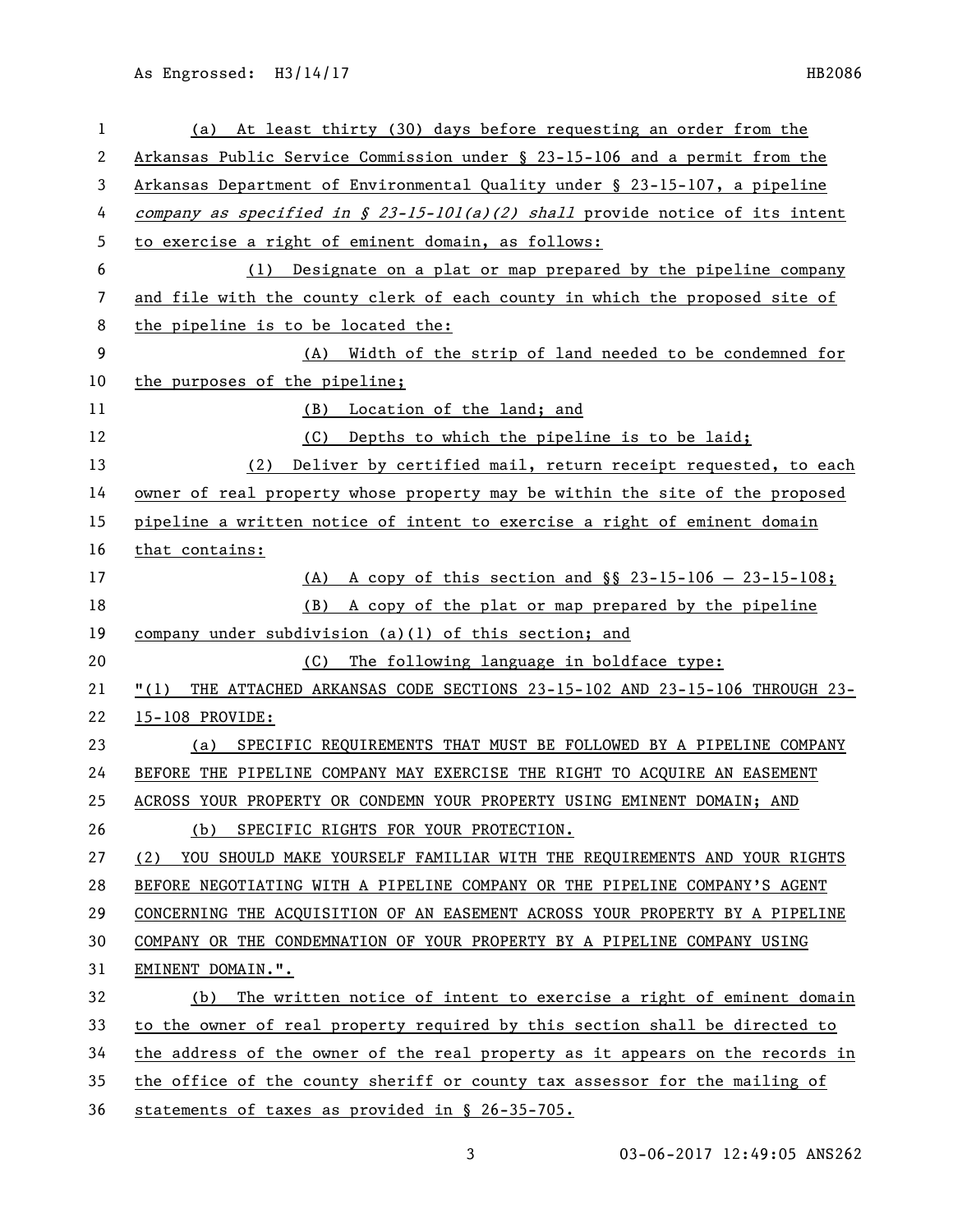As Engrossed: H3/14/17 HB2086

| 1                | (a) At least thirty (30) days before requesting an order from the               |
|------------------|---------------------------------------------------------------------------------|
| 2                | Arkansas Public Service Commission under § 23-15-106 and a permit from the      |
| 3                | Arkansas Department of Environmental Quality under § 23-15-107, a pipeline      |
| 4                | company as specified in § 23-15-101(a)(2) shall provide notice of its intent    |
| 5                | to exercise a right of eminent domain, as follows:                              |
| 6                | (1) Designate on a plat or map prepared by the pipeline company                 |
| 7                | and file with the county clerk of each county in which the proposed site of     |
| 8                | the pipeline is to be located the:                                              |
| $\boldsymbol{9}$ | (A) Width of the strip of land needed to be condemned for                       |
| 10               | the purposes of the pipeline;                                                   |
| 11               | (B) Location of the land; and                                                   |
| 12               | Depths to which the pipeline is to be laid;<br>(C)                              |
| 13               | Deliver by certified mail, return receipt requested, to each<br>(2)             |
| 14               | owner of real property whose property may be within the site of the proposed    |
| 15               | pipeline a written notice of intent to exercise a right of eminent domain       |
| 16               | that contains:                                                                  |
| 17               | (A) A copy of this section and $\S$ 23-15-106 - 23-15-108;                      |
| 18               | A copy of the plat or map prepared by the pipeline<br>(B)                       |
| 19               | company under subdivision (a)(1) of this section; and                           |
| 20               | (C)<br>The following language in boldface type:                                 |
| 21               | THE ATTACHED ARKANSAS CODE SECTIONS 23-15-102 AND 23-15-106 THROUGH 23-<br>"(1) |
| 22               | 15-108 PROVIDE:                                                                 |
| 23               | SPECIFIC REQUIREMENTS THAT MUST BE FOLLOWED BY A PIPELINE COMPANY<br>(a)        |
| 24               | BEFORE THE PIPELINE COMPANY MAY EXERCISE THE RIGHT TO ACQUIRE AN EASEMENT       |
| 25               | ACROSS YOUR PROPERTY OR CONDEMN YOUR PROPERTY USING EMINENT DOMAIN; AND         |
| 26               | (b) SPECIFIC RIGHTS FOR YOUR PROTECTION.                                        |
| 27               | (2) YOU SHOULD MAKE YOURSELF FAMILIAR WITH THE REQUIREMENTS AND YOUR RIGHTS     |
| 28               | BEFORE NEGOTIATING WITH A PIPELINE COMPANY OR THE PIPELINE COMPANY'S AGENT      |
| 29               | CONCERNING THE ACQUISITION OF AN EASEMENT ACROSS YOUR PROPERTY BY A PIPELINE    |
| 30               | COMPANY OR THE CONDEMNATION OF YOUR PROPERTY BY A PIPELINE COMPANY USING        |
| 31               | EMINENT DOMAIN.".                                                               |
| 32               | The written notice of intent to exercise a right of eminent domain<br>(b)       |
| 33               | to the owner of real property required by this section shall be directed to     |
| 34               | the address of the owner of the real property as it appears on the records in   |
| 35               | the office of the county sheriff or county tax assessor for the mailing of      |
| 36               | statements of taxes as provided in § 26-35-705.                                 |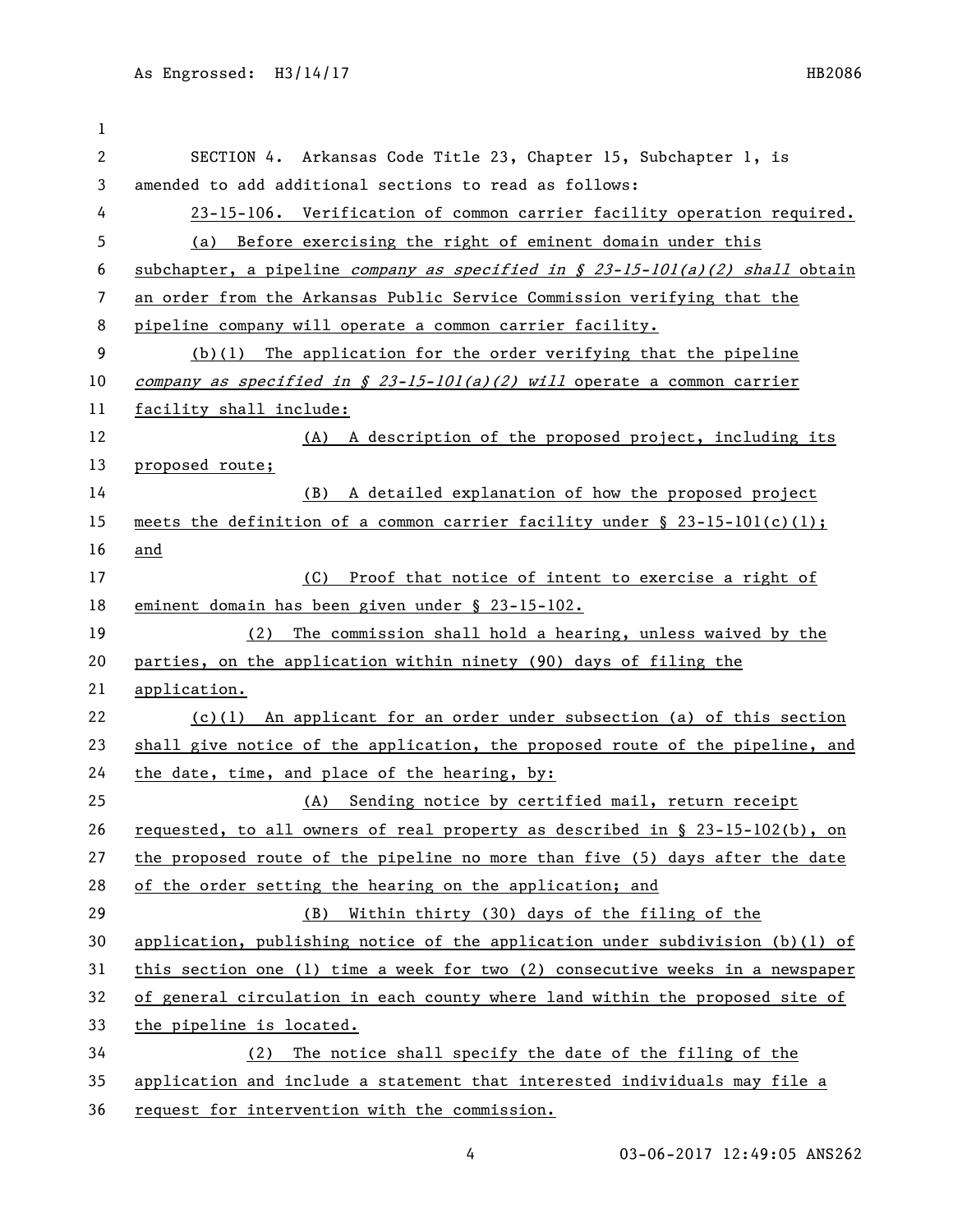| 1  |                                                                                     |
|----|-------------------------------------------------------------------------------------|
| 2  | SECTION 4. Arkansas Code Title 23, Chapter 15, Subchapter 1, is                     |
| 3  | amended to add additional sections to read as follows:                              |
| 4  | 23-15-106. Verification of common carrier facility operation required.              |
| 5  | (a) Before exercising the right of eminent domain under this                        |
| 6  | subchapter, a pipeline company as specified in $\oint$ 23-15-101(a)(2) shall obtain |
| 7  | an order from the Arkansas Public Service Commission verifying that the             |
| 8  | pipeline company will operate a common carrier facility.                            |
| 9  | $(b)(1)$ The application for the order verifying that the pipeline                  |
| 10 | company as specified in $\S$ 23-15-101(a)(2) will operate a common carrier          |
| 11 | facility shall include:                                                             |
| 12 | (A) A description of the proposed project, including its                            |
| 13 | proposed route;                                                                     |
| 14 | (B) A detailed explanation of how the proposed project                              |
| 15 | meets the definition of a common carrier facility under $\S$ 23-15-101(c)(1);       |
| 16 | and                                                                                 |
| 17 | (C) Proof that notice of intent to exercise a right of                              |
| 18 | <u>eminent domain has been given under § 23-15-102.</u>                             |
| 19 | (2) The commission shall hold a hearing, unless waived by the                       |
| 20 | parties, on the application within ninety (90) days of filing the                   |
| 21 | application.                                                                        |
| 22 | $(c)(1)$ An applicant for an order under subsection (a) of this section             |
| 23 | shall give notice of the application, the proposed route of the pipeline, and       |
| 24 | the date, time, and place of the hearing, by:                                       |
| 25 | (A) Sending notice by certified mail, return receipt                                |
| 26 | requested, to all owners of real property as described in § 23-15-102(b), on        |
| 27 | the proposed route of the pipeline no more than five (5) days after the date        |
| 28 | of the order setting the hearing on the application; and                            |
| 29 | Within thirty (30) days of the filing of the<br>(B)                                 |
| 30 | application, publishing notice of the application under subdivision $(b)(1)$ of     |
| 31 | this section one (1) time a week for two $(2)$ consecutive weeks in a newspaper     |
| 32 | of general circulation in each county where land within the proposed site of        |
| 33 | the pipeline is located.                                                            |
| 34 | The notice shall specify the date of the filing of the<br>(2)                       |
| 35 | application and include a statement that interested individuals may file a          |
| 36 | request for intervention with the commission.                                       |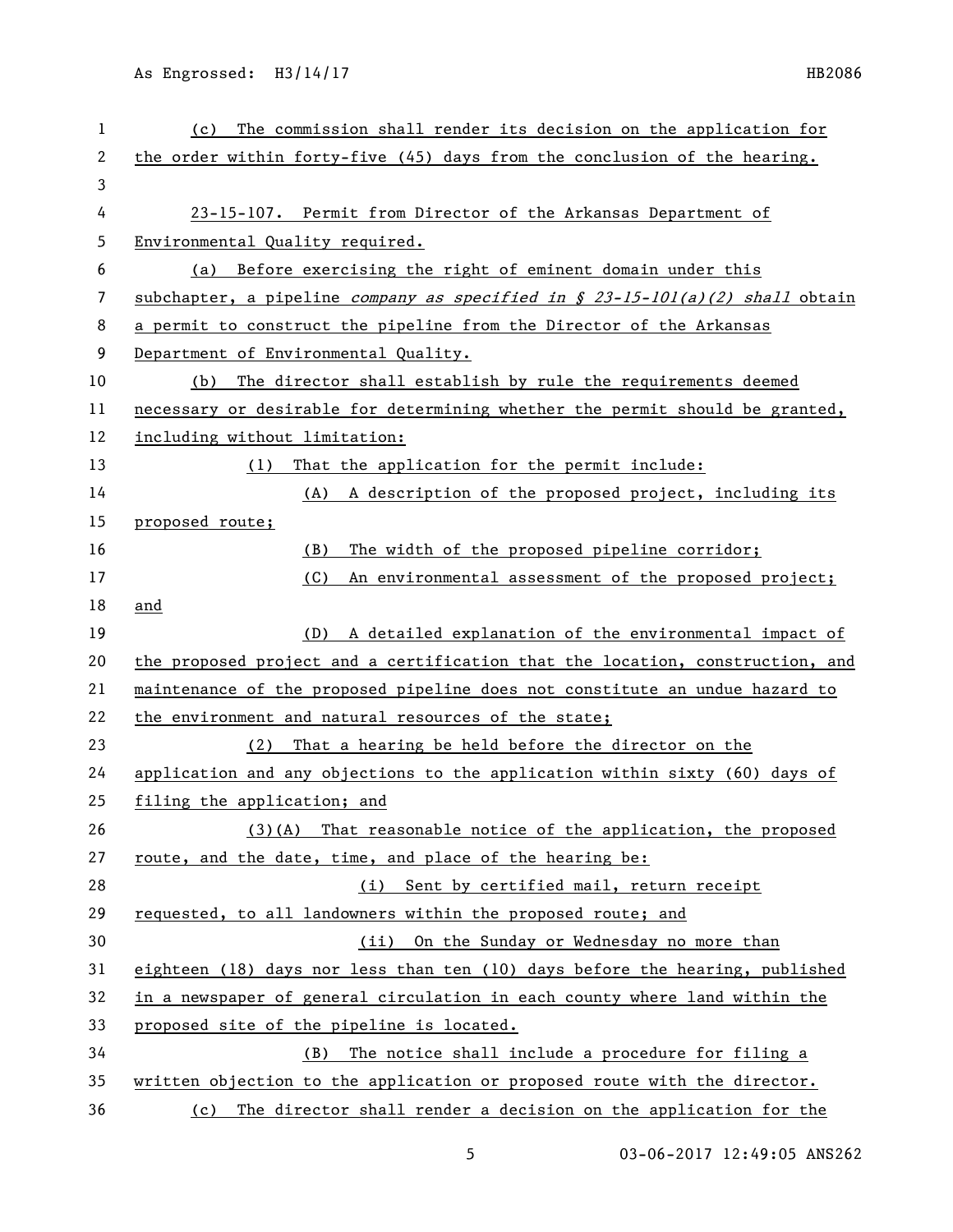As Engrossed: H3/14/17 HB2086

| 1  | The commission shall render its decision on the application for<br>(c)              |
|----|-------------------------------------------------------------------------------------|
| 2  | the order within forty-five (45) days from the conclusion of the hearing.           |
| 3  |                                                                                     |
| 4  | 23-15-107. Permit from Director of the Arkansas Department of                       |
| 5  | Environmental Quality required.                                                     |
| 6  | (a) Before exercising the right of eminent domain under this                        |
| 7  | subchapter, a pipeline company as specified in $\oint$ 23-15-101(a)(2) shall obtain |
| 8  | a permit to construct the pipeline from the Director of the Arkansas                |
| 9  | Department of Environmental Quality.                                                |
| 10 | (b) The director shall establish by rule the requirements deemed                    |
| 11 | necessary or desirable for determining whether the permit should be granted,        |
| 12 | including without limitation:                                                       |
| 13 | That the application for the permit include:<br>(1)                                 |
| 14 | (A) A description of the proposed project, including its                            |
| 15 | proposed route;                                                                     |
| 16 | (B)<br>The width of the proposed pipeline corridor;                                 |
| 17 | (C)<br>An environmental assessment of the proposed project;                         |
| 18 | and                                                                                 |
| 19 | A detailed explanation of the environmental impact of<br>(D)                        |
| 20 | the proposed project and a certification that the location, construction, and       |
| 21 | maintenance of the proposed pipeline does not constitute an undue hazard to         |
| 22 | the environment and natural resources of the state;                                 |
| 23 | (2)<br>That a hearing be held before the director on the                            |
| 24 | application and any objections to the application within sixty (60) days of         |
| 25 | filing the application; and                                                         |
| 26 | $(3)(A)$ That reasonable notice of the application, the proposed                    |
| 27 | route, and the date, time, and place of the hearing be:                             |
| 28 | (i) Sent by certified mail, return receipt                                          |
| 29 | requested, to all landowners within the proposed route; and                         |
| 30 | On the Sunday or Wednesday no more than<br>(ii)                                     |
| 31 | eighteen (18) days nor less than ten (10) days before the hearing, published        |
| 32 | in a newspaper of general circulation in each county where land within the          |
| 33 | proposed site of the pipeline is located.                                           |
| 34 | The notice shall include a procedure for filing a<br>(B)                            |
| 35 | written objection to the application or proposed route with the director.           |
|    |                                                                                     |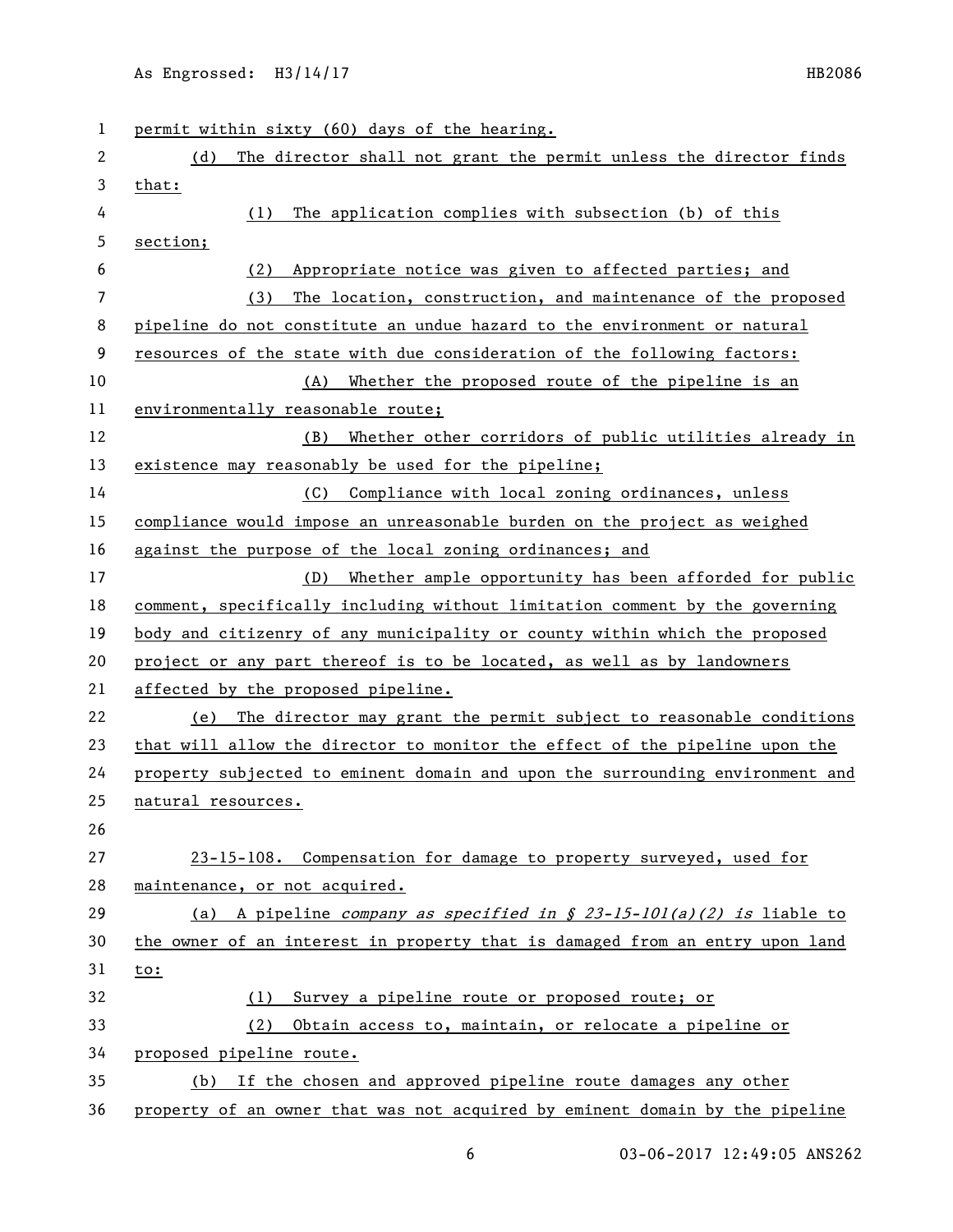| 1  | permit within sixty (60) days of the hearing.                                 |
|----|-------------------------------------------------------------------------------|
| 2  | (d)<br>The director shall not grant the permit unless the director finds      |
| 3  | that:                                                                         |
| 4  | The application complies with subsection (b) of this<br>(1)                   |
| 5  | section;                                                                      |
| 6  | (2)<br>Appropriate notice was given to affected parties; and                  |
| 7  | The location, construction, and maintenance of the proposed<br>(3)            |
| 8  | pipeline do not constitute an undue hazard to the environment or natural      |
| 9  | resources of the state with due consideration of the following factors:       |
| 10 | (A) Whether the proposed route of the pipeline is an                          |
| 11 | environmentally reasonable route;                                             |
| 12 | (B) Whether other corridors of public utilities already in                    |
| 13 | existence may reasonably be used for the pipeline;                            |
| 14 | (C) Compliance with local zoning ordinances, unless                           |
| 15 | compliance would impose an unreasonable burden on the project as weighed      |
| 16 | against the purpose of the local zoning ordinances; and                       |
| 17 | Whether ample opportunity has been afforded for public<br>(D)                 |
| 18 | comment, specifically including without limitation comment by the governing   |
| 19 | body and citizenry of any municipality or county within which the proposed    |
| 20 | project or any part thereof is to be located, as well as by landowners        |
| 21 | affected by the proposed pipeline.                                            |
| 22 | (e) The director may grant the permit subject to reasonable conditions        |
| 23 | that will allow the director to monitor the effect of the pipeline upon the   |
| 24 | property subjected to eminent domain and upon the surrounding environment and |
| 25 | natural resources.                                                            |
| 26 |                                                                               |
| 27 | 23-15-108. Compensation for damage to property surveyed, used for             |
| 28 | maintenance, or not acquired.                                                 |
| 29 | (a) A pipeline company as specified in § $23-15-101(a)(2)$ is liable to       |
| 30 | the owner of an interest in property that is damaged from an entry upon land  |
| 31 | to:                                                                           |
| 32 | Survey a pipeline route or proposed route; or<br>(1)                          |
| 33 | (2) Obtain access to, maintain, or relocate a pipeline or                     |
| 34 | proposed pipeline route.                                                      |
| 35 | (b) If the chosen and approved pipeline route damages any other               |
| 36 | property of an owner that was not acquired by eminent domain by the pipeline  |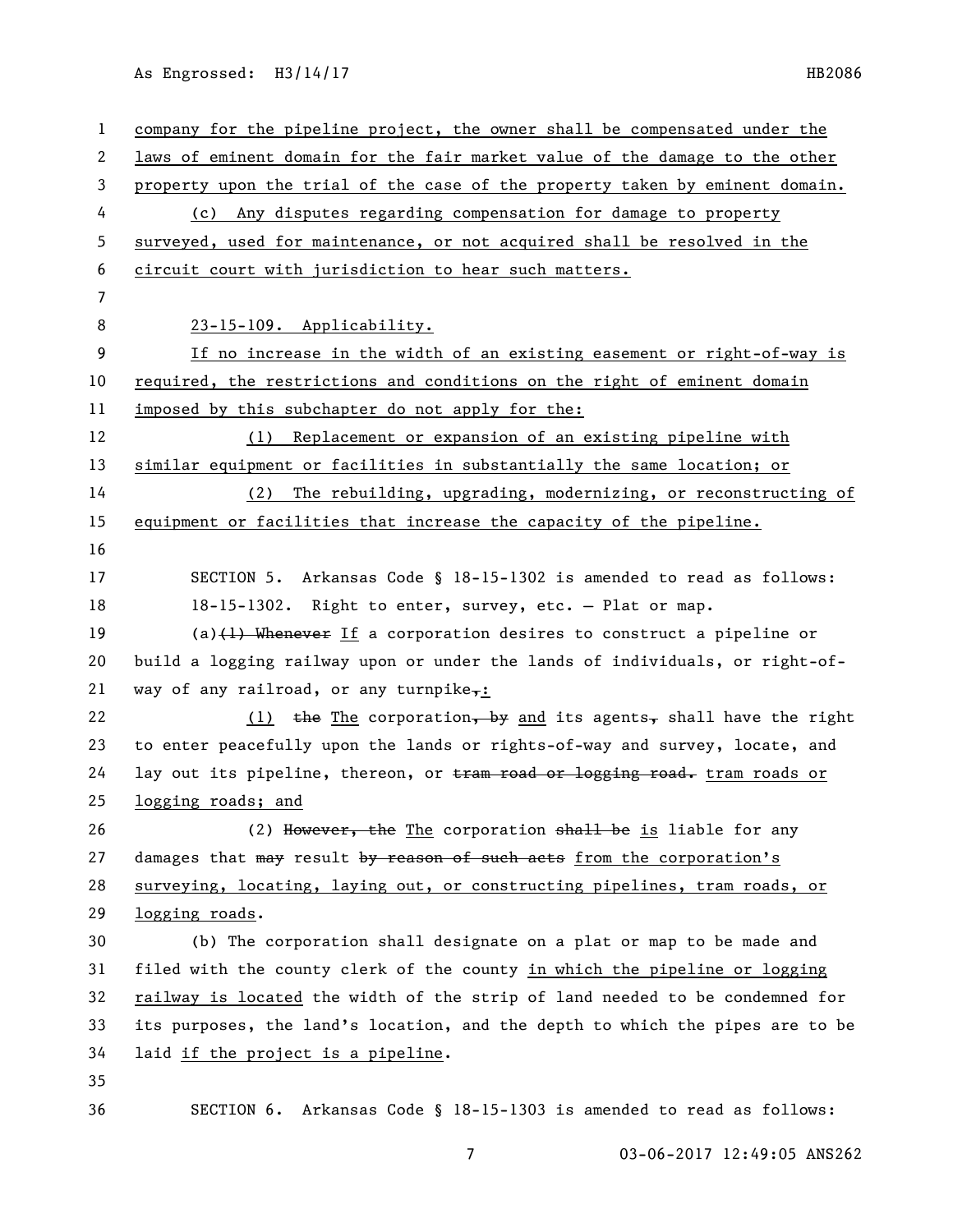As Engrossed: H3/14/17 HB2086

 company for the pipeline project, the owner shall be compensated under the laws of eminent domain for the fair market value of the damage to the other property upon the trial of the case of the property taken by eminent domain. (c) Any disputes regarding compensation for damage to property surveyed, used for maintenance, or not acquired shall be resolved in the circuit court with jurisdiction to hear such matters. 23-15-109. Applicability. If no increase in the width of an existing easement or right-of-way is required, the restrictions and conditions on the right of eminent domain imposed by this subchapter do not apply for the: (1) Replacement or expansion of an existing pipeline with similar equipment or facilities in substantially the same location; or (2) The rebuilding, upgrading, modernizing, or reconstructing of equipment or facilities that increase the capacity of the pipeline. SECTION 5. Arkansas Code § 18-15-1302 is amended to read as follows: 18-15-1302. Right to enter, survey, etc. — Plat or map.  $(a)$  (a)(1) Whenever If a corporation desires to construct a pipeline or build a logging railway upon or under the lands of individuals, or right-of-21 way of any railroad, or any turnpike,: 22 (1) the The corporation, by and its agents, shall have the right to enter peacefully upon the lands or rights-of-way and survey, locate, and 24 lay out its pipeline, thereon, or tram road or logging road. tram roads or logging roads; and 26 (2) However, the The corporation shall be is liable for any 27 damages that  $\frac{m}{x}$  result by reason of such acts from the corporation's surveying, locating, laying out, or constructing pipelines, tram roads, or logging roads. (b) The corporation shall designate on a plat or map to be made and filed with the county clerk of the county in which the pipeline or logging railway is located the width of the strip of land needed to be condemned for its purposes, the land's location, and the depth to which the pipes are to be laid if the project is a pipeline. SECTION 6. Arkansas Code § 18-15-1303 is amended to read as follows: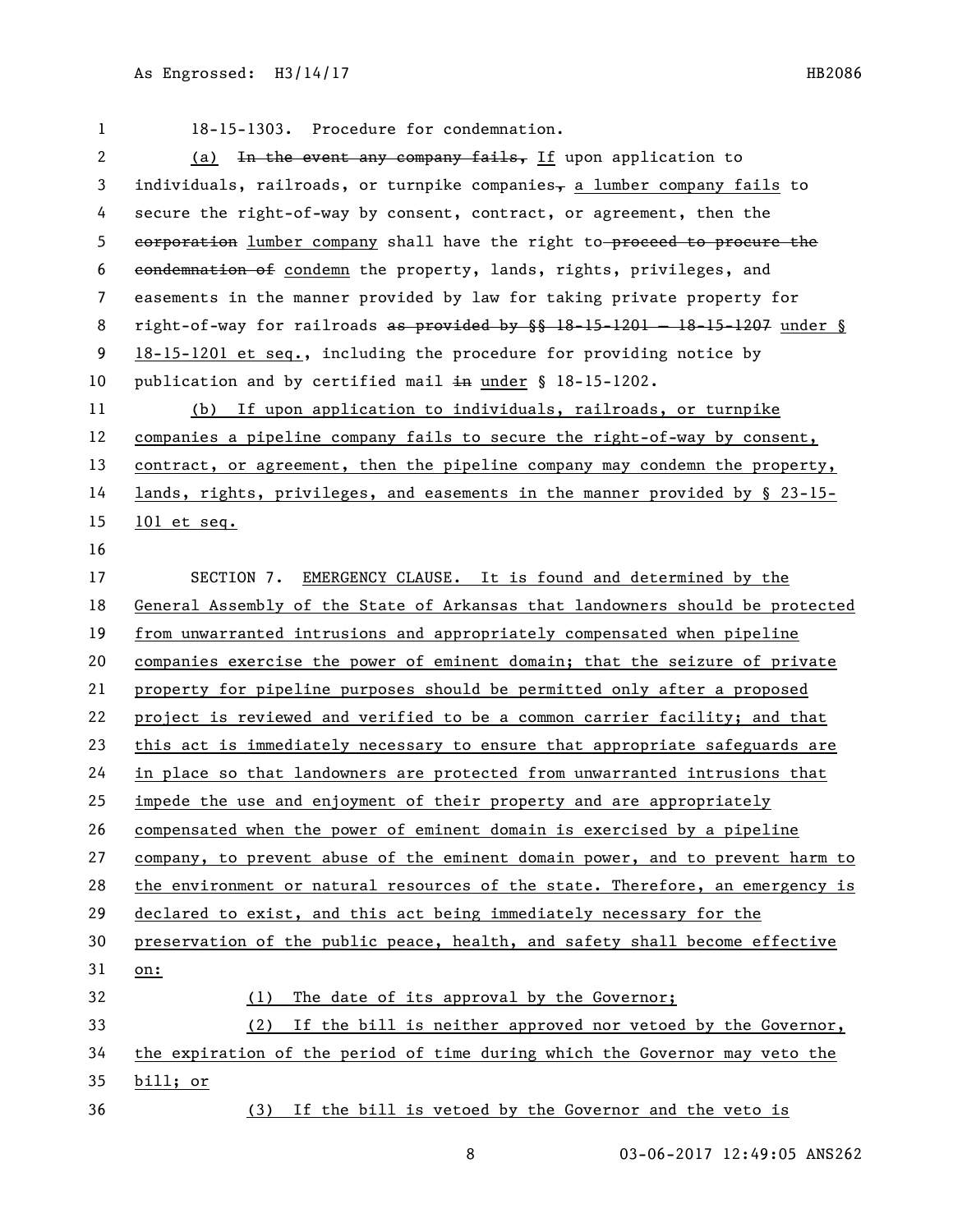| $\mathbf{1}$ | 18-15-1303. Procedure for condemnation.                                                   |
|--------------|-------------------------------------------------------------------------------------------|
| $\mathbf{2}$ | (a) In the event any company fails, If upon application to                                |
| 3            | individuals, railroads, or turnpike companies, a lumber company fails to                  |
| 4            | secure the right-of-way by consent, contract, or agreement, then the                      |
| 5            | eorporation lumber company shall have the right to proceed to procure the                 |
| 6            | eondemnation of condemn the property, lands, rights, privileges, and                      |
| 7            | easements in the manner provided by law for taking private property for                   |
| 8            | right-of-way for railroads as provided by $\frac{15-1201-18-15-1207}{18-15-1207}$ under § |
| 9            | 18-15-1201 et seq., including the procedure for providing notice by                       |
| 10           | publication and by certified mail in under § 18-15-1202.                                  |
| 11           | (b) If upon application to individuals, railroads, or turnpike                            |
| 12           | companies a pipeline company fails to secure the right-of-way by consent,                 |
| 13           | contract, or agreement, then the pipeline company may condemn the property,               |
| 14           | lands, rights, privileges, and easements in the manner provided by § 23-15-               |
| 15           | $101$ et seq.                                                                             |
| 16           |                                                                                           |
| 17           | EMERGENCY CLAUSE. It is found and determined by the<br>SECTION 7.                         |
| 18           | General Assembly of the State of Arkansas that landowners should be protected             |
| 19           | from unwarranted intrusions and appropriately compensated when pipeline                   |
| 20           | companies exercise the power of eminent domain; that the seizure of private               |
| 21           | property for pipeline purposes should be permitted only after a proposed                  |
| 22           | project is reviewed and verified to be a common carrier facility; and that                |
| 23           | this act is immediately necessary to ensure that appropriate safeguards are               |
| 24           | in place so that landowners are protected from unwarranted intrusions that                |
| 25           | impede the use and enjoyment of their property and are appropriately                      |
| 26           | compensated when the power of eminent domain is exercised by a pipeline                   |
| 27           | company, to prevent abuse of the eminent domain power, and to prevent harm to             |
| 28           | the environment or natural resources of the state. Therefore, an emergency is             |
| 29           | declared to exist, and this act being immediately necessary for the                       |
| 30           | preservation of the public peace, health, and safety shall become effective               |
| 31           | on:                                                                                       |
| 32           | The date of its approval by the Governor;<br>(1)                                          |
| 33           | If the bill is neither approved nor vetoed by the Governor,<br>(2)                        |
| 34           | the expiration of the period of time during which the Governor may veto the               |
| 35           | bill; or                                                                                  |
| 36           | If the bill is vetoed by the Governor and the veto is<br>(3)                              |